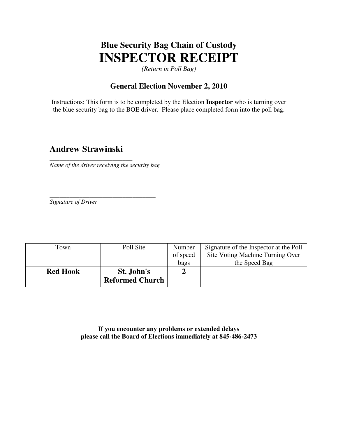# **Blue Security Bag Chain of Custody INSPECTOR RECEIPT**

*(Return in Poll Bag)* 

#### **General Election November 2, 2010**

Instructions: This form is to be completed by the Election **Inspector** who is turning over the blue security bag to the BOE driver. Please place completed form into the poll bag.

### **Andrew Strawinski**

\_\_\_\_\_\_\_\_\_\_\_\_\_\_\_\_\_\_\_\_\_\_\_\_\_

*Name of the driver receiving the security bag* 

\_\_\_\_\_\_\_\_\_\_\_\_\_\_\_\_\_\_\_\_\_\_\_\_\_\_\_\_\_\_\_\_

*Signature of Driver*

| Town            | Poll Site              | Number   | Signature of the Inspector at the Poll |
|-----------------|------------------------|----------|----------------------------------------|
|                 |                        | of speed | Site Voting Machine Turning Over       |
|                 |                        | bags     | the Speed Bag                          |
| <b>Red Hook</b> | St. John's             |          |                                        |
|                 | <b>Reformed Church</b> |          |                                        |

**If you encounter any problems or extended delays please call the Board of Elections immediately at 845-486-2473**